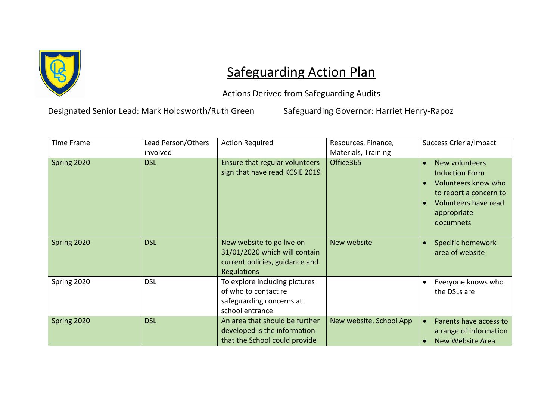

## Safeguarding Action Plan

Actions Derived from Safeguarding Audits

Designated Senior Lead: Mark Holdsworth/Ruth Green Safeguarding Governor: Harriet Henry-Rapoz

| <b>Time Frame</b> | Lead Person/Others<br>involved | <b>Action Required</b>                                                                                      | Resources, Finance,<br>Materials, Training | <b>Success Crieria/Impact</b>                                                                                                                |
|-------------------|--------------------------------|-------------------------------------------------------------------------------------------------------------|--------------------------------------------|----------------------------------------------------------------------------------------------------------------------------------------------|
| Spring 2020       | <b>DSL</b>                     | Ensure that regular volunteers<br>sign that have read KCSiE 2019                                            | Office365                                  | New volunteers<br><b>Induction Form</b><br>Volunteers know who<br>to report a concern to<br>Volunteers have read<br>appropriate<br>documnets |
| Spring 2020       | <b>DSL</b>                     | New website to go live on<br>31/01/2020 which will contain<br>current policies, guidance and<br>Regulations | New website                                | <b>Specific homework</b><br>area of website                                                                                                  |
| Spring 2020       | <b>DSL</b>                     | To explore including pictures<br>of who to contact re<br>safeguarding concerns at<br>school entrance        |                                            | Everyone knows who<br>the DSLs are                                                                                                           |
| Spring 2020       | <b>DSL</b>                     | An area that should be further<br>developed is the information<br>that the School could provide             | New website, School App                    | Parents have access to<br>a range of information<br><b>New Website Area</b>                                                                  |